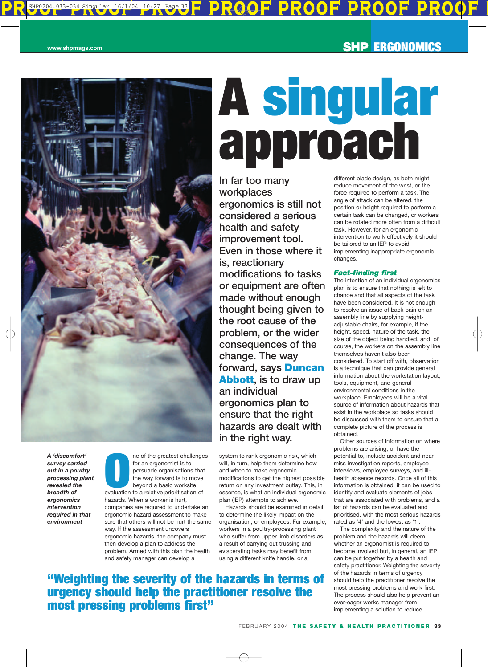

*A 'discomfort' survey carried out in a poultry processing plant revealed the breadth of ergonomics intervention required in that environment*

**O** the greatest challenge for an ergonomist is to persuade organisations that the way forward is to move beyond a basic worksite evaluation to a relative prioritisation of ne of the greatest challenges for an ergonomist is to persuade organisations that the way forward is to move beyond a basic worksite hazards. When a worker is hurt, companies are required to undertake an ergonomic hazard assessment to make sure that others will not be hurt the same way. If the assessment uncovers ergonomic hazards, the company must then develop a plan to address the problem. Armed with this plan the health and safety manager can develop a

# **A singular approach**

**In far too many workplaces ergonomics is still not considered a serious health and safety improvement tool. Even in those where it is, reactionary modifications to tasks or equipment are often made without enough thought being given to the root cause of the problem, or the wider consequences of the change. The way forward, says Duncan Abbott, is to draw up an individual ergonomics plan to ensure that the right hazards are dealt with in the right way.**

system to rank ergonomic risk, which will, in turn, help them determine how and when to make ergonomic modifications to get the highest possible return on any investment outlay. This, in essence, is what an individual ergonomic plan (IEP) attempts to achieve.

Hazards should be examined in detail to determine the likely impact on the organisation, or employees. For example, workers in a poultry-processing plant who suffer from upper limb disorders as a result of carrying out trussing and eviscerating tasks may benefit from using a different knife handle, or a

# **"Weighting the severity of the hazards in terms of urgency should help the practitioner resolve the most pressing problems first"**

different blade design, as both might reduce movement of the wrist, or the force required to perform a task. The angle of attack can be altered, the position or height required to perform a certain task can be changed, or workers can be rotated more often from a difficult task. However, for an ergonomic intervention to work effectively it should be tailored to an IEP to avoid implementing inappropriate ergonomic changes.

## *Fact-finding first*

The intention of an individual ergonomics plan is to ensure that nothing is left to chance and that all aspects of the task have been considered. It is not enough to resolve an issue of back pain on an assembly line by supplying heightadjustable chairs, for example, if the height, speed, nature of the task, the size of the object being handled, and, of course, the workers on the assembly line themselves haven't also been considered. To start off with, observation is a technique that can provide general information about the workstation layout, tools, equipment, and general environmental conditions in the workplace. Employees will be a vital source of information about hazards that exist in the workplace so tasks should be discussed with them to ensure that a complete picture of the process is obtained.

Other sources of information on where problems are arising, or have the potential to, include accident and nearmiss investigation reports, employee interviews, employee surveys, and illhealth absence records. Once all of this information is obtained, it can be used to identify and evaluate elements of jobs that are associated with problems, and a list of hazards can be evaluated and prioritised, with the most serious hazards rated as '4' and the lowest as '1'.

The complexity and the nature of the problem and the hazards will deem whether an ergonomist is required to become involved but, in general, an IEP can be put together by a health and safety practitioner. Weighting the severity of the hazards in terms of urgency should help the practitioner resolve the most pressing problems and work first. The process should also help prevent an over-eager works manager from implementing a solution to reduce